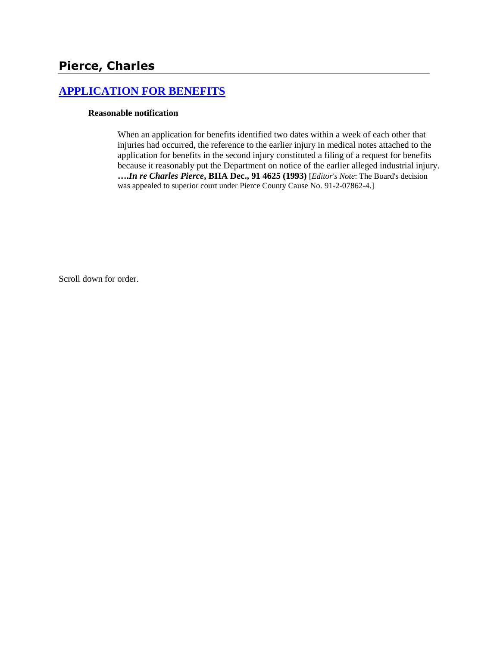# **Pierce, Charles**

# **[APPLICATION FOR BENEFITS](http://www.biia.wa.gov/SDSubjectIndex.html#APPLICATION_FOR_BENEFITS)**

### **Reasonable notification**

When an application for benefits identified two dates within a week of each other that injuries had occurred, the reference to the earlier injury in medical notes attached to the application for benefits in the second injury constituted a filing of a request for benefits because it reasonably put the Department on notice of the earlier alleged industrial injury. **….***In re Charles Pierce***, BIIA Dec., 91 4625 (1993)** [*Editor's Note*: The Board's decision was appealed to superior court under Pierce County Cause No. 91-2-07862-4.]

Scroll down for order.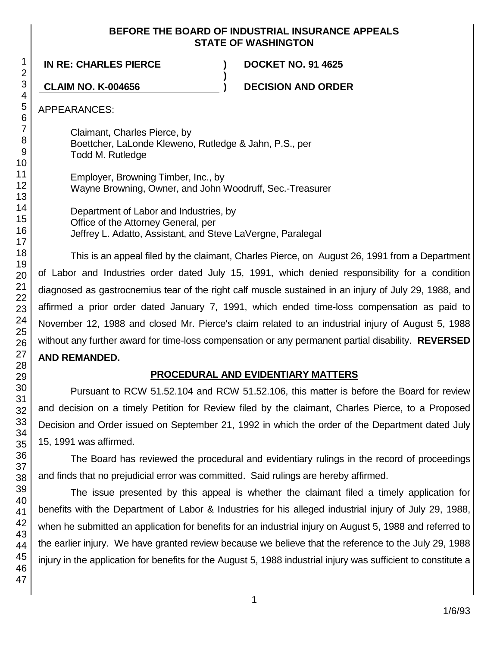### **BEFORE THE BOARD OF INDUSTRIAL INSURANCE APPEALS STATE OF WASHINGTON**

**)**

**IN RE: CHARLES PIERCE ) DOCKET NO. 91 4625**

**CLAIM NO. K-004656 ) DECISION AND ORDER**

APPEARANCES:

Claimant, Charles Pierce, by Boettcher, LaLonde Kleweno, Rutledge & Jahn, P.S., per Todd M. Rutledge

Employer, Browning Timber, Inc., by Wayne Browning, Owner, and John Woodruff, Sec.-Treasurer

Department of Labor and Industries, by Office of the Attorney General, per Jeffrey L. Adatto, Assistant, and Steve LaVergne, Paralegal

This is an appeal filed by the claimant, Charles Pierce, on August 26, 1991 from a Department of Labor and Industries order dated July 15, 1991, which denied responsibility for a condition diagnosed as gastrocnemius tear of the right calf muscle sustained in an injury of July 29, 1988, and affirmed a prior order dated January 7, 1991, which ended time-loss compensation as paid to November 12, 1988 and closed Mr. Pierce's claim related to an industrial injury of August 5, 1988 without any further award for time-loss compensation or any permanent partial disability. **REVERSED AND REMANDED.**

### **PROCEDURAL AND EVIDENTIARY MATTERS**

Pursuant to RCW 51.52.104 and RCW 51.52.106, this matter is before the Board for review and decision on a timely Petition for Review filed by the claimant, Charles Pierce, to a Proposed Decision and Order issued on September 21, 1992 in which the order of the Department dated July 15, 1991 was affirmed.

The Board has reviewed the procedural and evidentiary rulings in the record of proceedings and finds that no prejudicial error was committed. Said rulings are hereby affirmed.

The issue presented by this appeal is whether the claimant filed a timely application for benefits with the Department of Labor & Industries for his alleged industrial injury of July 29, 1988, when he submitted an application for benefits for an industrial injury on August 5, 1988 and referred to the earlier injury. We have granted review because we believe that the reference to the July 29, 1988 injury in the application for benefits for the August 5, 1988 industrial injury was sufficient to constitute a

1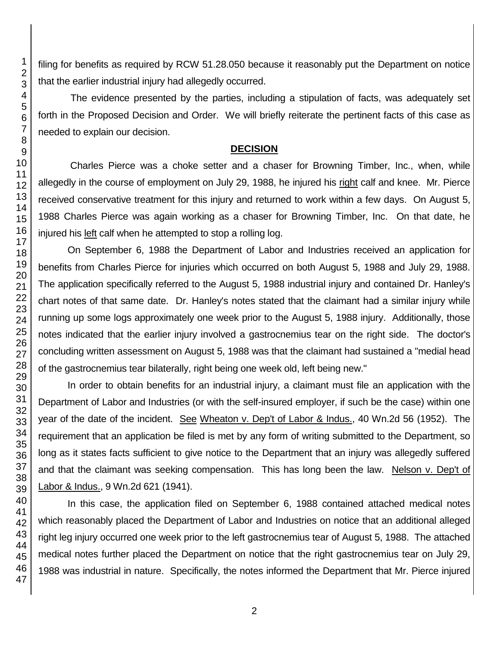filing for benefits as required by RCW 51.28.050 because it reasonably put the Department on notice that the earlier industrial injury had allegedly occurred.

The evidence presented by the parties, including a stipulation of facts, was adequately set forth in the Proposed Decision and Order. We will briefly reiterate the pertinent facts of this case as needed to explain our decision.

### **DECISION**

Charles Pierce was a choke setter and a chaser for Browning Timber, Inc., when, while allegedly in the course of employment on July 29, 1988, he injured his right calf and knee. Mr. Pierce received conservative treatment for this injury and returned to work within a few days. On August 5, 1988 Charles Pierce was again working as a chaser for Browning Timber, Inc. On that date, he injured his left calf when he attempted to stop a rolling log.

On September 6, 1988 the Department of Labor and Industries received an application for benefits from Charles Pierce for injuries which occurred on both August 5, 1988 and July 29, 1988. The application specifically referred to the August 5, 1988 industrial injury and contained Dr. Hanley's chart notes of that same date. Dr. Hanley's notes stated that the claimant had a similar injury while running up some logs approximately one week prior to the August 5, 1988 injury. Additionally, those notes indicated that the earlier injury involved a gastrocnemius tear on the right side. The doctor's concluding written assessment on August 5, 1988 was that the claimant had sustained a "medial head of the gastrocnemius tear bilaterally, right being one week old, left being new."

In order to obtain benefits for an industrial injury, a claimant must file an application with the Department of Labor and Industries (or with the self-insured employer, if such be the case) within one year of the date of the incident. See Wheaton v. Dep't of Labor & Indus., 40 Wn.2d 56 (1952). The requirement that an application be filed is met by any form of writing submitted to the Department, so long as it states facts sufficient to give notice to the Department that an injury was allegedly suffered and that the claimant was seeking compensation. This has long been the law. Nelson v. Dep't of Labor & Indus., 9 Wn.2d 621 (1941).

In this case, the application filed on September 6, 1988 contained attached medical notes which reasonably placed the Department of Labor and Industries on notice that an additional alleged right leg injury occurred one week prior to the left gastrocnemius tear of August 5, 1988. The attached medical notes further placed the Department on notice that the right gastrocnemius tear on July 29, 1988 was industrial in nature. Specifically, the notes informed the Department that Mr. Pierce injured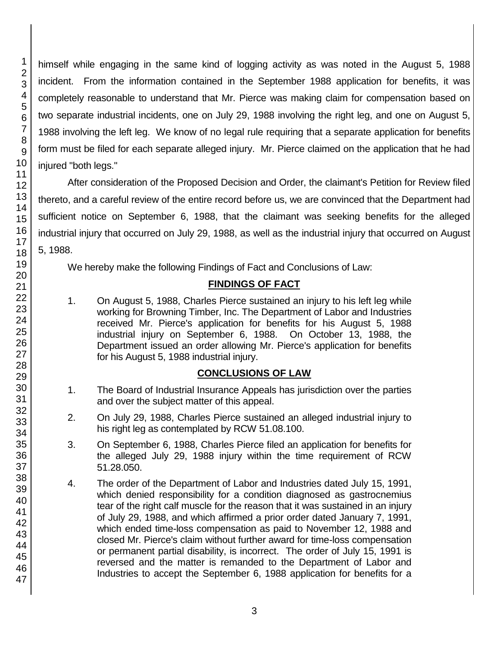himself while engaging in the same kind of logging activity as was noted in the August 5, 1988 incident. From the information contained in the September 1988 application for benefits, it was completely reasonable to understand that Mr. Pierce was making claim for compensation based on two separate industrial incidents, one on July 29, 1988 involving the right leg, and one on August 5, 1988 involving the left leg. We know of no legal rule requiring that a separate application for benefits form must be filed for each separate alleged injury. Mr. Pierce claimed on the application that he had injured "both legs."

After consideration of the Proposed Decision and Order, the claimant's Petition for Review filed thereto, and a careful review of the entire record before us, we are convinced that the Department had sufficient notice on September 6, 1988, that the claimant was seeking benefits for the alleged industrial injury that occurred on July 29, 1988, as well as the industrial injury that occurred on August 5, 1988.

We hereby make the following Findings of Fact and Conclusions of Law:

## **FINDINGS OF FACT**

1. On August 5, 1988, Charles Pierce sustained an injury to his left leg while working for Browning Timber, Inc. The Department of Labor and Industries received Mr. Pierce's application for benefits for his August 5, 1988 industrial injury on September 6, 1988. On October 13, 1988, the Department issued an order allowing Mr. Pierce's application for benefits for his August 5, 1988 industrial injury.

### **CONCLUSIONS OF LAW**

- 1. The Board of Industrial Insurance Appeals has jurisdiction over the parties and over the subject matter of this appeal.
- 2. On July 29, 1988, Charles Pierce sustained an alleged industrial injury to his right leg as contemplated by RCW 51.08.100.
- 3. On September 6, 1988, Charles Pierce filed an application for benefits for the alleged July 29, 1988 injury within the time requirement of RCW 51.28.050.
- 4. The order of the Department of Labor and Industries dated July 15, 1991, which denied responsibility for a condition diagnosed as gastrocnemius tear of the right calf muscle for the reason that it was sustained in an injury of July 29, 1988, and which affirmed a prior order dated January 7, 1991, which ended time-loss compensation as paid to November 12, 1988 and closed Mr. Pierce's claim without further award for time-loss compensation or permanent partial disability, is incorrect. The order of July 15, 1991 is reversed and the matter is remanded to the Department of Labor and Industries to accept the September 6, 1988 application for benefits for a